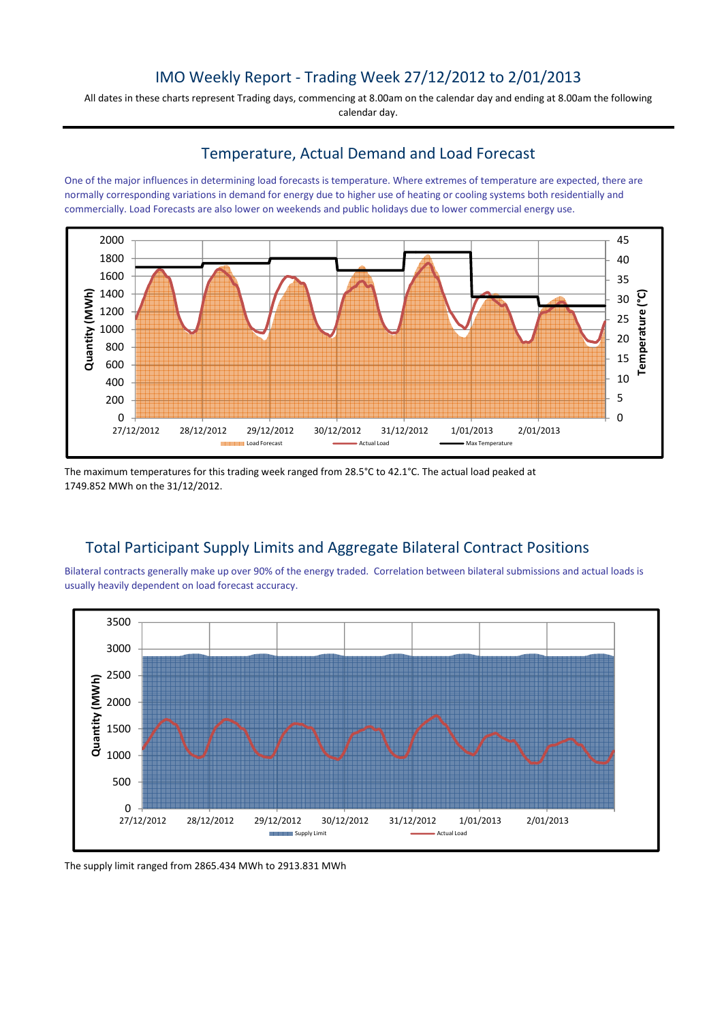## IMO Weekly Report - Trading Week 27/12/2012 to 2/01/2013

All dates in these charts represent Trading days, commencing at 8.00am on the calendar day and ending at 8.00am the following calendar day.

#### Temperature, Actual Demand and Load Forecast

One of the major influences in determining load forecasts is temperature. Where extremes of temperature are expected, there are normally corresponding variations in demand for energy due to higher use of heating or cooling systems both residentially and commercially. Load Forecasts are also lower on weekends and public holidays due to lower commercial energy use.



The maximum temperatures for this trading week ranged from 28.5°C to 42.1°C. The actual load peaked at 1749.852 MWh on the 31/12/2012.

# Total Participant Supply Limits and Aggregate Bilateral Contract Positions

Bilateral contracts generally make up over 90% of the energy traded. Correlation between bilateral submissions and actual loads is usually heavily dependent on load forecast accuracy.



The supply limit ranged from 2865.434 MWh to 2913.831 MWh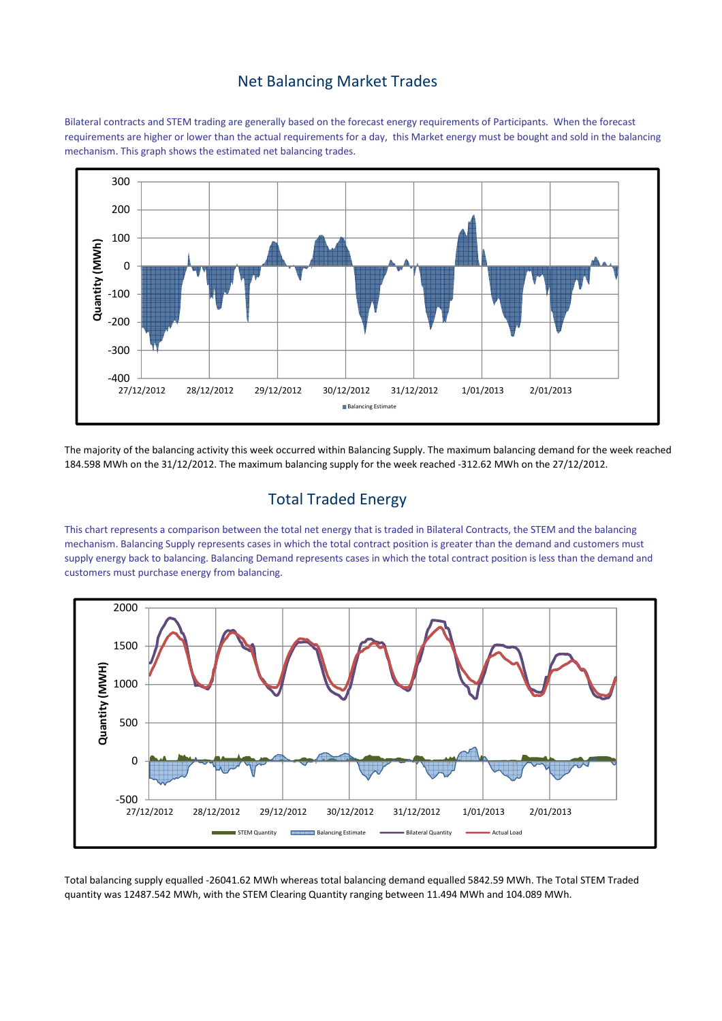#### Net Balancing Market Trades

Bilateral contracts and STEM trading are generally based on the forecast energy requirements of Participants. When the forecast requirements are higher or lower than the actual requirements for a day, this Market energy must be bought and sold in the balancing mechanism. This graph shows the estimated net balancing trades.



The majority of the balancing activity this week occurred within Balancing Supply. The maximum balancing demand for the week reached 184.598 MWh on the 31/12/2012. The maximum balancing supply for the week reached -312.62 MWh on the 27/12/2012.

### Total Traded Energy

This chart represents a comparison between the total net energy that is traded in Bilateral Contracts, the STEM and the balancing mechanism. Balancing Supply represents cases in which the total contract position is greater than the demand and customers must supply energy back to balancing. Balancing Demand represents cases in which the total contract position is less than the demand and customers must purchase energy from balancing.



Total balancing supply equalled -26041.62 MWh whereas total balancing demand equalled 5842.59 MWh. The Total STEM Traded quantity was 12487.542 MWh, with the STEM Clearing Quantity ranging between 11.494 MWh and 104.089 MWh.